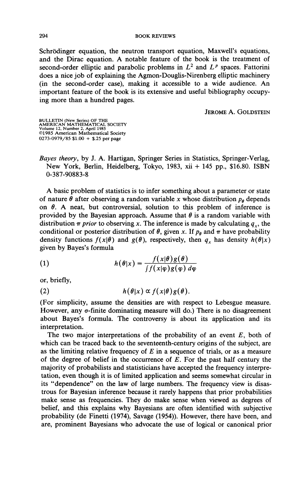Schrödinger equation, the neutron transport equation, Maxwell's equations, and the Dirac equation. A notable feature of the book is the treatment of second-order elliptic and parabolic problems in  $L^2$  and  $L^p$  spaces. Fattorini does a nice job of explaining the Agmon-Douglis-Nirenberg elliptic machinery (in the second-order case), making it accessible to a wide audience. An important feature of the book is its extensive and useful bibliography occupying more than a hundred pages.

JEROME A. GOLDSTEIN

BULLETIN (New Series) OF THE AMERICAN MATHEMATICAL SOCIETY Volume 12, Number 2, April 1985 ©1985 American Mathematical Society 0273-0979/85 \$1.00 + \$.25 per page

*Bayes theory,* by J. A. Hartigan, Springer Series in Statistics, Springer-Verlag, New York, Berlin, Heidelberg, Tokyo, 1983, xii + 145 pp., \$16.80. ISBN 0-387-90883-8

A basic problem of statistics is to infer something about a parameter or state of nature  $\theta$  after observing a random variable x whose distribution  $p_{\theta}$  depends on  $\theta$ . A neat, but controversial, solution to this problem of inference is provided by the Bayesian approach. Assume that  $\theta$  is a random variable with distribution  $\pi$  prior to observing x. The inference is made by calculating  $q_x$ , the conditional or posterior distribution of  $\theta$ , given x. If  $p_{\theta}$  and  $\pi$  have probability density functions  $f(x|\theta)$  and  $g(\theta)$ , respectively, then  $q_x$  has density  $h(\theta|x)$ given by Bayes's formula

(1) 
$$
h(\theta|x) = \frac{f(x|\theta)g(\theta)}{\int f(x|\phi)g(\phi) d\phi}
$$

or, briefly,

(2) 
$$
h(\theta|x) \propto f(x|\theta)g(\theta).
$$

(For simplicity, assume the densities are with respect to Lebesgue measure. However, any  $\sigma$ -finite dominating measure will do.) There is no disagreement about Bayes's formula. The controversy is about its application and its interpretation.

The two major interpretations of the probability of an event *E,* both of which can be traced back to the seventeenth-century origins of the subject, are as the limiting relative frequency of  $E$  in a sequence of trials, or as a measure of the degree of belief in the occurrence of *E.* For the past half century the majority of probabilists and statisticians have accepted the frequency interpretation, even though it is of limited application and seems somewhat circular in its "dependence" on the law of large numbers. The frequency view is disastrous for Bayesian inference because it rarely happens that prior probabilities make sense as frequencies. They do make sense when viewed as degrees of belief, and this explains why Bayesians are often identified with subjective probability (de Finetti (1974), Savage (1954)). However, there have been, and are, prominent Bayesians who advocate the use of logical or canonical prior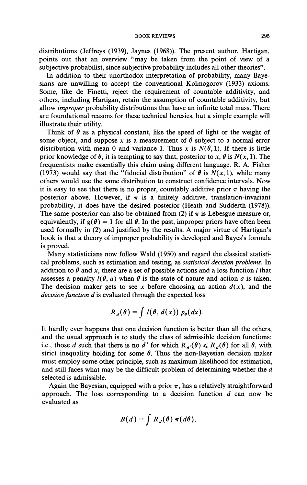distributions (Jeffreys (1939), Jaynes (1968)). The present author, Hartigan, points out that an overview "may be taken from the point of view of a subjective probabilist, since subjective probability includes all other theories".

In addition to their unorthodox interpretation of probability, many Bayesians are unwilling to accept the conventional Kolmogorov (1933) axioms. Some, like de Finetti, reject the requirement of countable additivity, and others, including Hartigan, retain the assumption of countable additivity, but allow *improper* probability distributions that have an infinite total mass. There are foundational reasons for these technical heresies, but a simple example will illustrate their utility.

Think of  $\theta$  as a physical constant, like the speed of light or the weight of some object, and suppose x is a measurement of  $\theta$  subject to a normal error distribution with mean 0 and variance 1. Thus x is  $N(\theta, 1)$ . If there is little prior knowledge of  $\theta$ , it is tempting to say that, posterior to x,  $\theta$  is  $N(x, 1)$ . The frequentists make essentially this claim using different language. R. A. Fisher (1973) would say that the "fiducial distribution" of  $\theta$  is  $N(x, 1)$ , while many others would use the same distribution to construct confidence intervals. Now it is easy to see that there is no proper, countably additive prior  $\pi$  having the posterior above. However, if *m* is a finitely additive, translation-invariant probability, it does have the desired posterior (Heath and Sudderth (1978)). The same posterior can also be obtained from (2) if  $\pi$  is Lebesgue measure or, equivalently, if  $g(\theta) = 1$  for all  $\theta$ . In the past, improper priors have often been used formally in (2) and justified by the results. A major virtue of Hartigan's book is that a theory of improper probability is developed and Bayes's formula is proved.

Many statisticians now follow Wald (1950) and regard the classical statistical problems, such as estimation and testing, as *statistical decision problems.* In addition to  $\theta$  and x, there are a set of possible actions and a loss function *l* that assesses a penalty  $l(\theta, a)$  when  $\theta$  is the state of nature and action a is taken. The decision maker gets to see x before choosing an action  $d(x)$ , and the *decision function d* is evaluated through the expected loss

$$
R_d(\theta) = \int l(\theta, d(x)) p_{\theta}(dx).
$$

It hardly ever happens that one decision function is better than all the others, and the usual approach is to study the class of admissible decision functions: i.e., those *d* such that there is no *d'* for which  $R_{d'}(\theta) \le R_d(\theta)$  for all  $\theta$ , with strict inequality holding for some  $\theta$ . Thus the non-Bayesian decision maker must employ some other principle, such as maximum likelihood for estimation, and still faces what may be the difficult problem of determining whether the *d*  selected is admissible.

Again the Bayesian, equipped with a prior  $\pi$ , has a relatively straightforward approach. The loss corresponding to a decision function *d* can now be evaluated as

$$
B(d) = \int R_d(\theta) \pi(d\theta),
$$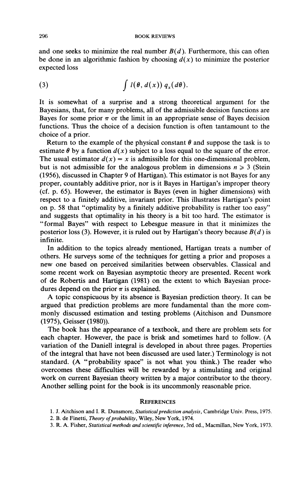and one seeks to minimize the real number  $B(d)$ . Furthermore, this can often be done in an algorithmic fashion by choosing  $d(x)$  to minimize the posterior expected loss

(3) 
$$
\int l(\theta, d(x)) q_x(d\theta).
$$

It is somewhat of a surprise and a strong theoretical argument for the Bayesians, that, for many problems, all of the admissible decision functions are Bayes for some prior  $\pi$  or the limit in an appropriate sense of Bayes decision functions. Thus the choice of a decision function is often tantamount to the choice of a prior.

Return to the example of the physical constant  $\theta$  and suppose the task is to estimate  $\theta$  by a function  $d(x)$  subject to a loss equal to the square of the error. The usual estimator  $d(x) = x$  is admissible for this one-dimensional problem, but is not admissible for the analogous problem in dimensions  $n \geq 3$  (Stein (1956), discussed in Chapter 9 of Hartigan). This estimator is not Bayes for any proper, countably additive prior, nor is it Bayes in Hartigan's improper theory (cf. p. 65). However, the estimator is Bayes (even in higher dimensions) with respect to a finitely additive, invariant prior. This illustrates Hartigan's point on p. 58 that "optimality by a finitely additive probability is rather too easy" and suggests that optimality in his theory is a bit too hard. The estimator is "formal Bayes" with respect to Lebesgue measure in that it minimizes the posterior loss (3). However, it is ruled out by Hartigan's theory because *B(d)* is infinite.

In addition to the topics already mentioned, Hartigan treats a number of others. He surveys some of the techniques for getting a prior and proposes a new one based on perceived similarities between observables. Classical and some recent work on Bayesian asymptotic theory are presented. Recent work of de Robertis and Hartigan (1981) on the extent to which Bayesian procedures depend on the prior *m* is explained.

A topic conspicuous by its absence is Bayesian prediction theory. It can be argued that prediction problems are more fundamental than the more commonly discussed estimation and testing problems (Aitchison and Dunsmore (1975), Geisser (1980)).

The book has the appearance of a textbook, and there are problem sets for each chapter. However, the pace is brisk and sometimes hard to follow. (A variation of the Daniell integral is developed in about three pages. Properties of the integral that have not been discussed are used later.) Terminology is not standard. (A "probability space" is not what you think.) The reader who overcomes these difficulties will be rewarded by a stimulating and original work on current Bayesian theory written by a major contributor to the theory. Another selling point for the book is its uncommonly reasonable price.

## **REFERENCES**

- 1. J. Aitchison and I. R. Dunsmore, *Statistical prediction analysis,* Cambridge Univ. Press, 1975.
- 2. B. de Finetti, *Theory of probability*, Wiley, New York, 1974.
- 3. R. A. Fisher, *Statistical methods and scientific inference,* 3rd éd., Macmillan, New York, 1973.